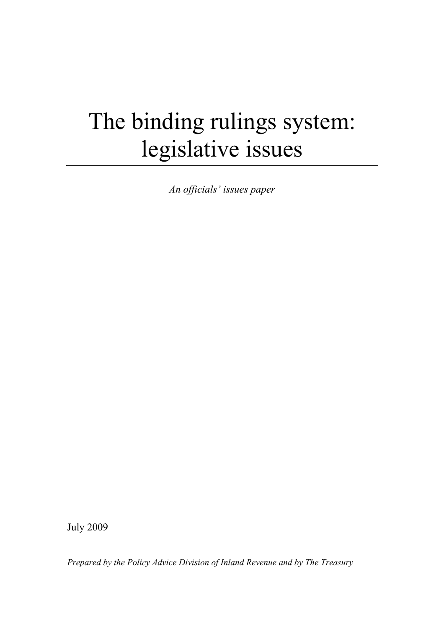# The binding rulings system: legislative issues

*An officials' issues paper* 

July 2009

*Prepared by the Policy Advice Division of Inland Revenue and by The Treasury*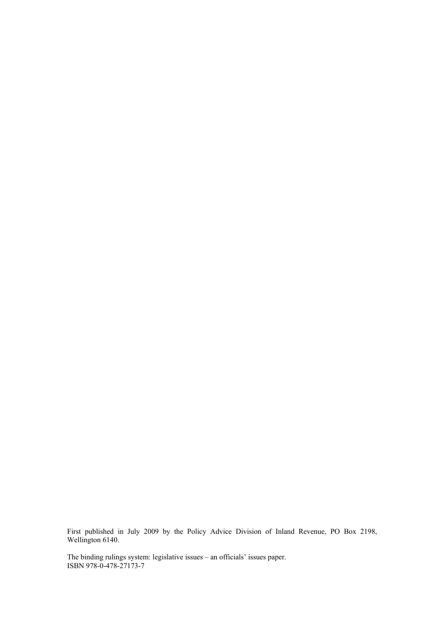First published in July 2009 by the Policy Advice Division of Inland Revenue, PO Box 2198, Wellington 6140.

The binding rulings system: legislative issues – an officials' issues paper. ISBN 978-0-478-27173-7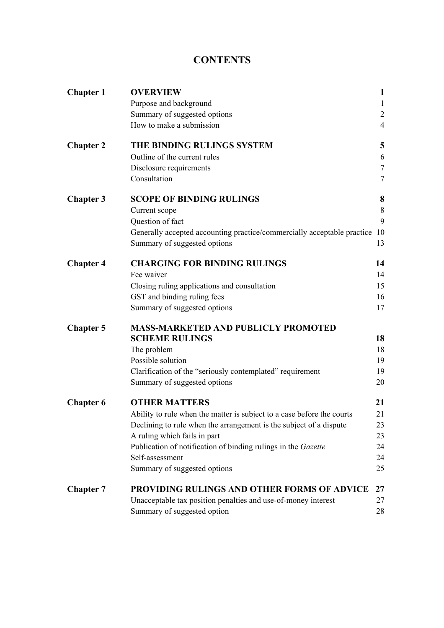# **CONTENTS**

| <b>Chapter 1</b> | <b>OVERVIEW</b>                                                         | $\mathbf{1}$   |
|------------------|-------------------------------------------------------------------------|----------------|
|                  | Purpose and background                                                  | $\mathbf{1}$   |
|                  | Summary of suggested options                                            | $\overline{c}$ |
|                  | How to make a submission                                                | $\overline{4}$ |
| <b>Chapter 2</b> | THE BINDING RULINGS SYSTEM                                              | 5              |
|                  | Outline of the current rules                                            | 6              |
|                  | Disclosure requirements                                                 | $\overline{7}$ |
|                  | Consultation                                                            | $\overline{7}$ |
| <b>Chapter 3</b> | <b>SCOPE OF BINDING RULINGS</b>                                         | 8              |
|                  | Current scope                                                           | 8              |
|                  | Question of fact                                                        | 9              |
|                  | Generally accepted accounting practice/commercially acceptable practice | -10            |
|                  | Summary of suggested options                                            | 13             |
| <b>Chapter 4</b> | <b>CHARGING FOR BINDING RULINGS</b>                                     | 14             |
|                  | Fee waiver                                                              | 14             |
|                  | Closing ruling applications and consultation                            | 15             |
|                  | GST and binding ruling fees                                             | 16             |
|                  | Summary of suggested options                                            | 17             |
| <b>Chapter 5</b> | <b>MASS-MARKETED AND PUBLICLY PROMOTED</b>                              |                |
|                  | <b>SCHEME RULINGS</b>                                                   | 18             |
|                  | The problem                                                             | 18             |
|                  | Possible solution                                                       | 19             |
|                  | Clarification of the "seriously contemplated" requirement               | 19             |
|                  | Summary of suggested options                                            | 20             |
| <b>Chapter 6</b> | <b>OTHER MATTERS</b>                                                    | 21             |
|                  | Ability to rule when the matter is subject to a case before the courts  | 21             |
|                  | Declining to rule when the arrangement is the subject of a dispute      | 23             |
|                  | A ruling which fails in part                                            | 23             |
|                  | Publication of notification of binding rulings in the Gazette           | 24             |
|                  | Self-assessment                                                         | 24             |
|                  | Summary of suggested options                                            | 25             |
| <b>Chapter 7</b> | PROVIDING RULINGS AND OTHER FORMS OF ADVICE                             | 27             |
|                  | Unacceptable tax position penalties and use-of-money interest           | 27             |
|                  | Summary of suggested option                                             | 28             |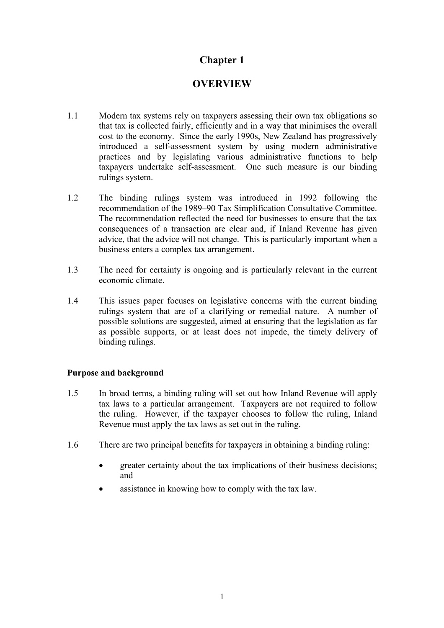# **OVERVIEW**

- <span id="page-4-0"></span>1.1 Modern tax systems rely on taxpayers assessing their own tax obligations so that tax is collected fairly, efficiently and in a way that minimises the overall cost to the economy. Since the early 1990s, New Zealand has progressively introduced a self-assessment system by using modern administrative practices and by legislating various administrative functions to help taxpayers undertake self-assessment. One such measure is our binding rulings system.
- 1.2 The binding rulings system was introduced in 1992 following the recommendation of the 1989–90 Tax Simplification Consultative Committee. The recommendation reflected the need for businesses to ensure that the tax consequences of a transaction are clear and, if Inland Revenue has given advice, that the advice will not change. This is particularly important when a business enters a complex tax arrangement.
- 1.3 The need for certainty is ongoing and is particularly relevant in the current economic climate.
- 1.4 This issues paper focuses on legislative concerns with the current binding rulings system that are of a clarifying or remedial nature. A number of possible solutions are suggested, aimed at ensuring that the legislation as far as possible supports, or at least does not impede, the timely delivery of binding rulings.

# **Purpose and background**

- 1.5 In broad terms, a binding ruling will set out how Inland Revenue will apply tax laws to a particular arrangement. Taxpayers are not required to follow the ruling. However, if the taxpayer chooses to follow the ruling, Inland Revenue must apply the tax laws as set out in the ruling.
- 1.6 There are two principal benefits for taxpayers in obtaining a binding ruling:
	- greater certainty about the tax implications of their business decisions; and
	- assistance in knowing how to comply with the tax law.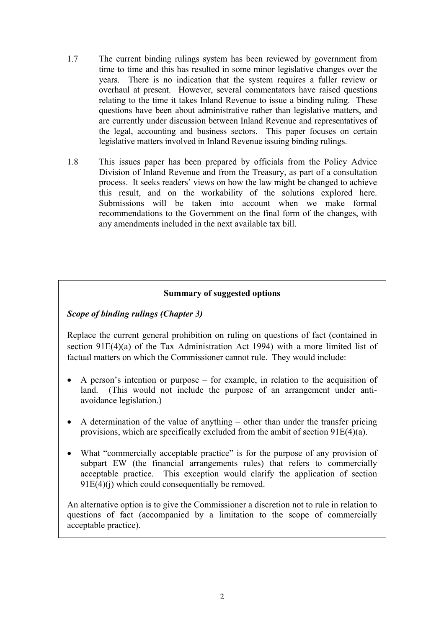- 1.7 The current binding rulings system has been reviewed by government from time to time and this has resulted in some minor legislative changes over the years. There is no indication that the system requires a fuller review or overhaul at present. However, several commentators have raised questions relating to the time it takes Inland Revenue to issue a binding ruling. These questions have been about administrative rather than legislative matters, and are currently under discussion between Inland Revenue and representatives of the legal, accounting and business sectors. This paper focuses on certain legislative matters involved in Inland Revenue issuing binding rulings.
- 1.8 This issues paper has been prepared by officials from the Policy Advice Division of Inland Revenue and from the Treasury, as part of a consultation process. It seeks readers' views on how the law might be changed to achieve this result, and on the workability of the solutions explored here. Submissions will be taken into account when we make formal recommendations to the Government on the final form of the changes, with any amendments included in the next available tax bill.

# **Summary of suggested options**

# *Scope of binding rulings (Chapter 3)*

Replace the current general prohibition on ruling on questions of fact (contained in section 91E(4)(a) of the Tax Administration Act 1994) with a more limited list of factual matters on which the Commissioner cannot rule. They would include:

- A person's intention or purpose for example, in relation to the acquisition of land. (This would not include the purpose of an arrangement under antiavoidance legislation.)
- A determination of the value of anything other than under the transfer pricing provisions, which are specifically excluded from the ambit of section 91E(4)(a).
- What "commercially acceptable practice" is for the purpose of any provision of subpart EW (the financial arrangements rules) that refers to commercially acceptable practice. This exception would clarify the application of section  $91E(4)(i)$  which could consequentially be removed.

An alternative option is to give the Commissioner a discretion not to rule in relation to questions of fact (accompanied by a limitation to the scope of commercially acceptable practice).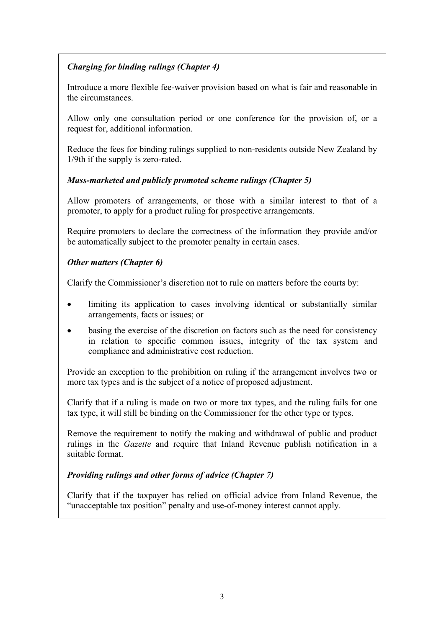# *Charging for binding rulings (Chapter 4)*

Introduce a more flexible fee-waiver provision based on what is fair and reasonable in the circumstances.

Allow only one consultation period or one conference for the provision of, or a request for, additional information.

Reduce the fees for binding rulings supplied to non-residents outside New Zealand by 1/9th if the supply is zero-rated.

# *Mass-marketed and publicly promoted scheme rulings (Chapter 5)*

Allow promoters of arrangements, or those with a similar interest to that of a promoter, to apply for a product ruling for prospective arrangements.

Require promoters to declare the correctness of the information they provide and/or be automatically subject to the promoter penalty in certain cases.

# *Other matters (Chapter 6)*

Clarify the Commissioner's discretion not to rule on matters before the courts by:

- limiting its application to cases involving identical or substantially similar arrangements, facts or issues; or
- basing the exercise of the discretion on factors such as the need for consistency in relation to specific common issues, integrity of the tax system and compliance and administrative cost reduction.

Provide an exception to the prohibition on ruling if the arrangement involves two or more tax types and is the subject of a notice of proposed adjustment.

Clarify that if a ruling is made on two or more tax types, and the ruling fails for one tax type, it will still be binding on the Commissioner for the other type or types.

Remove the requirement to notify the making and withdrawal of public and product rulings in the *Gazette* and require that Inland Revenue publish notification in a suitable format.

# *Providing rulings and other forms of advice (Chapter 7)*

Clarify that if the taxpayer has relied on official advice from Inland Revenue, the "unacceptable tax position" penalty and use-of-money interest cannot apply.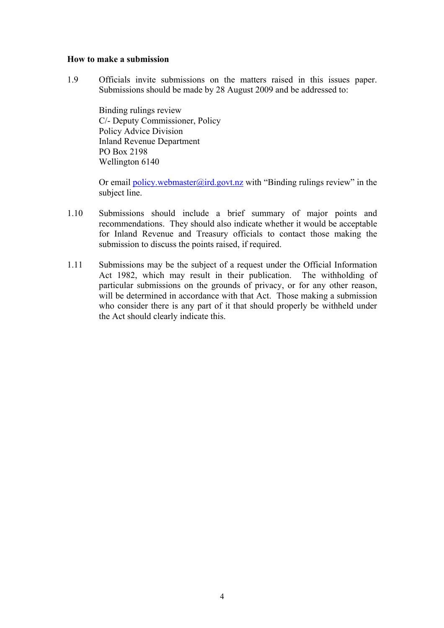#### **How to make a submission**

1.9 Officials invite submissions on the matters raised in this issues paper. Submissions should be made by 28 August 2009 and be addressed to:

Binding rulings review C/- Deputy Commissioner, Policy Policy Advice Division Inland Revenue Department PO Box 2198 Wellington 6140

Or email policy.webmaster@ird.govt.nz with "Binding rulings review" in the subject line.

- 1.10 Submissions should include a brief summary of major points and recommendations. They should also indicate whether it would be acceptable for Inland Revenue and Treasury officials to contact those making the submission to discuss the points raised, if required.
- 1.11 Submissions may be the subject of a request under the Official Information Act 1982, which may result in their publication. The withholding of particular submissions on the grounds of privacy, or for any other reason, will be determined in accordance with that Act. Those making a submission who consider there is any part of it that should properly be withheld under the Act should clearly indicate this.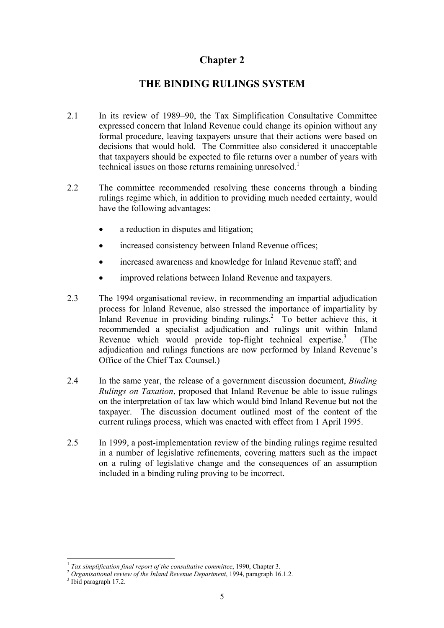# **THE BINDING RULINGS SYSTEM**

- <span id="page-8-0"></span>2.1 In its review of 1989–90, the Tax Simplification Consultative Committee expressed concern that Inland Revenue could change its opinion without any formal procedure, leaving taxpayers unsure that their actions were based on decisions that would hold. The Committee also considered it unacceptable that taxpayers should be expected to file returns over a number of years with technical issues on those returns remaining unresolved.<sup>1</sup>
- 2.2 The committee recommended resolving these concerns through a binding rulings regime which, in addition to providing much needed certainty, would have the following advantages:
	- a reduction in disputes and litigation:
	- increased consistency between Inland Revenue offices:
	- increased awareness and knowledge for Inland Revenue staff; and
	- improved relations between Inland Revenue and taxpayers.
- 2.3 The 1994 organisational review, in recommending an impartial adjudication process for Inland Revenue, also stressed the importance of impartiality by Inland Revenue in providing binding rulings.<sup>2</sup> To better achieve this, it recommended a specialist adjudication and rulings unit within Inland Revenue which would provide top-flight technical expertise.<sup>3</sup> (The adjudication and rulings functions are now performed by Inland Revenue's Office of the Chief Tax Counsel.)
- 2.4 In the same year, the release of a government discussion document, *Binding Rulings on Taxation*, proposed that Inland Revenue be able to issue rulings on the interpretation of tax law which would bind Inland Revenue but not the taxpayer. The discussion document outlined most of the content of the current rulings process, which was enacted with effect from 1 April 1995.
- 2.5 In 1999, a post-implementation review of the binding rulings regime resulted in a number of legislative refinements, covering matters such as the impact on a ruling of legislative change and the consequences of an assumption included in a binding ruling proving to be incorrect.

 $\overline{a}$ 

<sup>&</sup>lt;sup>1</sup> *Tax simplification final report of the consultative committee*, 1990, Chapter 3.<br><sup>2</sup> *Organisational review of the Inland Revenue Department*, 1994, paragraph 16.1.2.

 $3$  Ibid paragraph 17.2.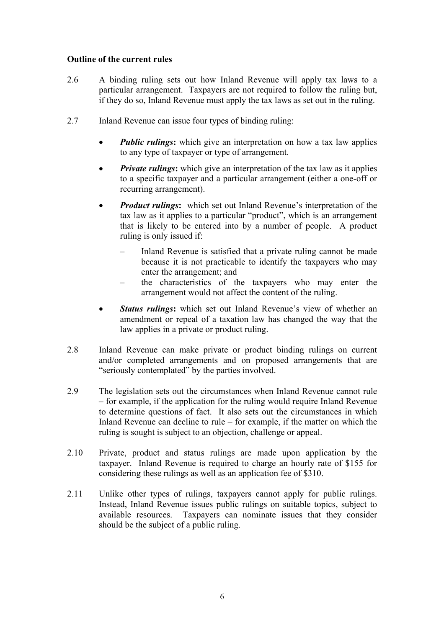#### **Outline of the current rules**

- 2.6 A binding ruling sets out how Inland Revenue will apply tax laws to a particular arrangement. Taxpayers are not required to follow the ruling but, if they do so, Inland Revenue must apply the tax laws as set out in the ruling.
- 2.7 Inland Revenue can issue four types of binding ruling:
	- *Public rulings*: which give an interpretation on how a tax law applies to any type of taxpayer or type of arrangement.
	- *Private rulings*: which give an interpretation of the tax law as it applies to a specific taxpayer and a particular arrangement (either a one-off or recurring arrangement).
	- *Product rulings***:**which set out Inland Revenue's interpretation of the tax law as it applies to a particular "product", which is an arrangement that is likely to be entered into by a number of people. A product ruling is only issued if:
		- Inland Revenue is satisfied that a private ruling cannot be made because it is not practicable to identify the taxpayers who may enter the arrangement; and
		- the characteristics of the taxpayers who may enter the arrangement would not affect the content of the ruling.
	- *Status rulings***:** which set out Inland Revenue's view of whether an amendment or repeal of a taxation law has changed the way that the law applies in a private or product ruling.
- 2.8 Inland Revenue can make private or product binding rulings on current and/or completed arrangements and on proposed arrangements that are "seriously contemplated" by the parties involved.
- 2.9 The legislation sets out the circumstances when Inland Revenue cannot rule – for example, if the application for the ruling would require Inland Revenue to determine questions of fact. It also sets out the circumstances in which Inland Revenue can decline to rule – for example, if the matter on which the ruling is sought is subject to an objection, challenge or appeal.
- 2.10 Private, product and status rulings are made upon application by the taxpayer. Inland Revenue is required to charge an hourly rate of \$155 for considering these rulings as well as an application fee of \$310.
- 2.11 Unlike other types of rulings, taxpayers cannot apply for public rulings. Instead, Inland Revenue issues public rulings on suitable topics, subject to available resources. Taxpayers can nominate issues that they consider should be the subject of a public ruling.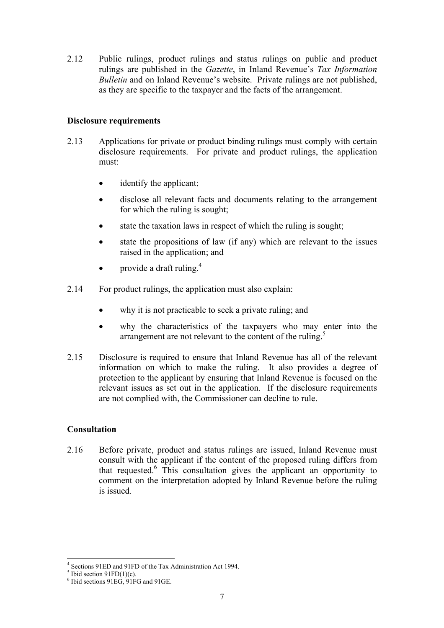2.12 Public rulings, product rulings and status rulings on public and product rulings are published in the *Gazette*, in Inland Revenue's *Tax Information Bulletin* and on Inland Revenue's website. Private rulings are not published, as they are specific to the taxpayer and the facts of the arrangement.

#### **Disclosure requirements**

- 2.13 Applications for private or product binding rulings must comply with certain disclosure requirements. For private and product rulings, the application must:
	- identify the applicant;
	- disclose all relevant facts and documents relating to the arrangement for which the ruling is sought;
	- state the taxation laws in respect of which the ruling is sought;
	- state the propositions of law (if any) which are relevant to the issues raised in the application; and
	- provide a draft ruling. $4$
- 2.14 For product rulings, the application must also explain:
	- why it is not practicable to seek a private ruling; and
	- why the characteristics of the taxpayers who may enter into the arrangement are not relevant to the content of the ruling.<sup>5</sup>
- 2.15 Disclosure is required to ensure that Inland Revenue has all of the relevant information on which to make the ruling. It also provides a degree of protection to the applicant by ensuring that Inland Revenue is focused on the relevant issues as set out in the application. If the disclosure requirements are not complied with, the Commissioner can decline to rule.

# **Consultation**

2.16 Before private, product and status rulings are issued, Inland Revenue must consult with the applicant if the content of the proposed ruling differs from that requested.6 This consultation gives the applicant an opportunity to comment on the interpretation adopted by Inland Revenue before the ruling is issued.

 $^{4}$  Sections 91ED and 91FD of the Tax Administration Act 1994.

 $<sup>5</sup>$  Ibid section 91FD(1)(c).</sup>

<sup>6</sup> Ibid sections 91EG, 91FG and 91GE.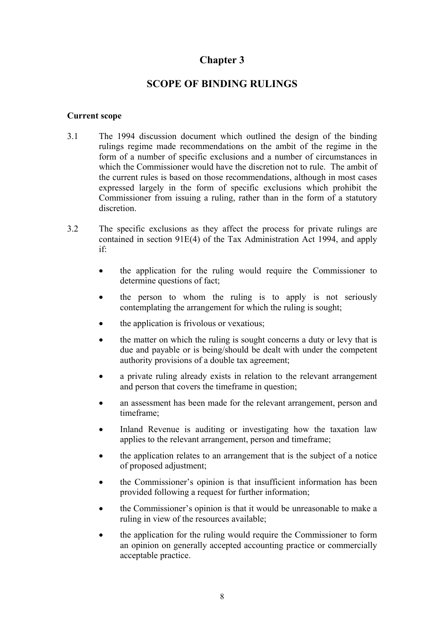# **SCOPE OF BINDING RULINGS**

#### <span id="page-11-0"></span>**Current scope**

- 3.1 The 1994 discussion document which outlined the design of the binding rulings regime made recommendations on the ambit of the regime in the form of a number of specific exclusions and a number of circumstances in which the Commissioner would have the discretion not to rule. The ambit of the current rules is based on those recommendations, although in most cases expressed largely in the form of specific exclusions which prohibit the Commissioner from issuing a ruling, rather than in the form of a statutory discretion.
- 3.2 The specific exclusions as they affect the process for private rulings are contained in section 91E(4) of the Tax Administration Act 1994, and apply if:
	- the application for the ruling would require the Commissioner to determine questions of fact;
	- the person to whom the ruling is to apply is not seriously contemplating the arrangement for which the ruling is sought;
	- the application is frivolous or vexatious;
	- the matter on which the ruling is sought concerns a duty or levy that is due and payable or is being/should be dealt with under the competent authority provisions of a double tax agreement;
	- a private ruling already exists in relation to the relevant arrangement and person that covers the timeframe in question;
	- an assessment has been made for the relevant arrangement, person and timeframe;
	- Inland Revenue is auditing or investigating how the taxation law applies to the relevant arrangement, person and timeframe;
	- the application relates to an arrangement that is the subject of a notice of proposed adjustment;
	- the Commissioner's opinion is that insufficient information has been provided following a request for further information;
	- the Commissioner's opinion is that it would be unreasonable to make a ruling in view of the resources available;
	- the application for the ruling would require the Commissioner to form an opinion on generally accepted accounting practice or commercially acceptable practice.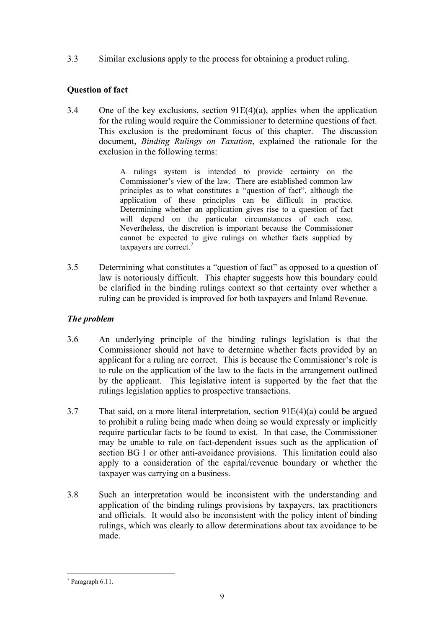3.3 Similar exclusions apply to the process for obtaining a product ruling.

# **Question of fact**

3.4 One of the key exclusions, section  $91E(4)(a)$ , applies when the application for the ruling would require the Commissioner to determine questions of fact. This exclusion is the predominant focus of this chapter. The discussion document, *Binding Rulings on Taxation*, explained the rationale for the exclusion in the following terms:

> A rulings system is intended to provide certainty on the Commissioner's view of the law. There are established common law principles as to what constitutes a "question of fact", although the application of these principles can be difficult in practice. Determining whether an application gives rise to a question of fact will depend on the particular circumstances of each case. Nevertheless, the discretion is important because the Commissioner cannot be expected to give rulings on whether facts supplied by taxpayers are correct.<sup>7</sup>

3.5 Determining what constitutes a "question of fact" as opposed to a question of law is notoriously difficult. This chapter suggests how this boundary could be clarified in the binding rulings context so that certainty over whether a ruling can be provided is improved for both taxpayers and Inland Revenue.

# *The problem*

- 3.6 An underlying principle of the binding rulings legislation is that the Commissioner should not have to determine whether facts provided by an applicant for a ruling are correct. This is because the Commissioner's role is to rule on the application of the law to the facts in the arrangement outlined by the applicant. This legislative intent is supported by the fact that the rulings legislation applies to prospective transactions.
- 3.7 That said, on a more literal interpretation, section 91E(4)(a) could be argued to prohibit a ruling being made when doing so would expressly or implicitly require particular facts to be found to exist. In that case, the Commissioner may be unable to rule on fact-dependent issues such as the application of section BG 1 or other anti-avoidance provisions. This limitation could also apply to a consideration of the capital/revenue boundary or whether the taxpayer was carrying on a business.
- 3.8 Such an interpretation would be inconsistent with the understanding and application of the binding rulings provisions by taxpayers, tax practitioners and officials. It would also be inconsistent with the policy intent of binding rulings, which was clearly to allow determinations about tax avoidance to be made.

 $\overline{a}$ 7 Paragraph 6.11.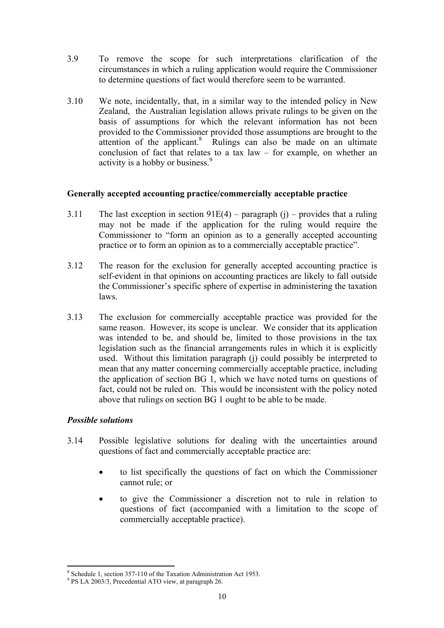- 3.9 To remove the scope for such interpretations clarification of the circumstances in which a ruling application would require the Commissioner to determine questions of fact would therefore seem to be warranted.
- 3.10 We note, incidentally, that, in a similar way to the intended policy in New Zealand, the Australian legislation allows private rulings to be given on the basis of assumptions for which the relevant information has not been provided to the Commissioner provided those assumptions are brought to the attention of the applicant.<sup>8</sup> Rulings can also be made on an ultimate conclusion of fact that relates to a tax law – for example, on whether an activity is a hobby or business.<sup>9</sup>

#### **Generally accepted accounting practice/commercially acceptable practice**

- 3.11 The last exception in section  $91E(4)$  paragraph (j) provides that a ruling may not be made if the application for the ruling would require the Commissioner to "form an opinion as to a generally accepted accounting practice or to form an opinion as to a commercially acceptable practice".
- 3.12 The reason for the exclusion for generally accepted accounting practice is self-evident in that opinions on accounting practices are likely to fall outside the Commissioner's specific sphere of expertise in administering the taxation laws.
- 3.13 The exclusion for commercially acceptable practice was provided for the same reason. However, its scope is unclear. We consider that its application was intended to be, and should be, limited to those provisions in the tax legislation such as the financial arrangements rules in which it is explicitly used. Without this limitation paragraph (j) could possibly be interpreted to mean that any matter concerning commercially acceptable practice, including the application of section BG 1, which we have noted turns on questions of fact, could not be ruled on. This would be inconsistent with the policy noted above that rulings on section BG 1 ought to be able to be made.

# *Possible solutions*

- 3.14 Possible legislative solutions for dealing with the uncertainties around questions of fact and commercially acceptable practice are:
	- to list specifically the questions of fact on which the Commissioner cannot rule; or
	- to give the Commissioner a discretion not to rule in relation to questions of fact (accompanied with a limitation to the scope of commercially acceptable practice).

 $\overline{a}$ <sup>8</sup> Schedule 1, section 357-110 of the Taxation Administration Act 1953.<br><sup>9</sup> PS LA 2003/3, Progodontial ATO view, at paragraph 26

 $9$  PS LA 2003/3, Precedential ATO view, at paragraph 26.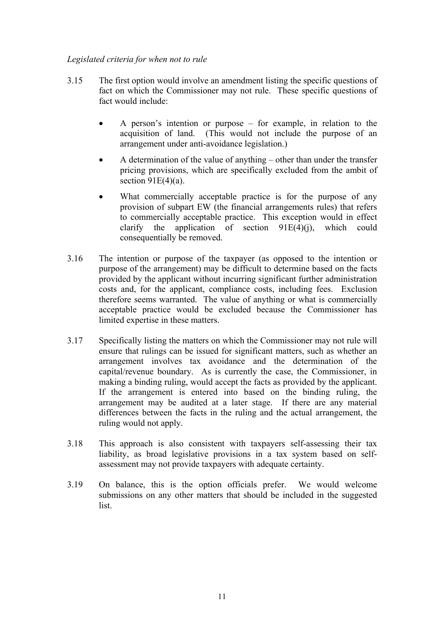# *Legislated criteria for when not to rule*

- 3.15 The first option would involve an amendment listing the specific questions of fact on which the Commissioner may not rule. These specific questions of fact would include:
	- A person's intention or purpose for example, in relation to the acquisition of land. (This would not include the purpose of an arrangement under anti-avoidance legislation.)
	- A determination of the value of anything other than under the transfer pricing provisions, which are specifically excluded from the ambit of section  $91E(4)(a)$ .
	- What commercially acceptable practice is for the purpose of any provision of subpart EW (the financial arrangements rules) that refers to commercially acceptable practice. This exception would in effect clarify the application of section  $91E(4)(i)$ , which could consequentially be removed.
- 3.16 The intention or purpose of the taxpayer (as opposed to the intention or purpose of the arrangement) may be difficult to determine based on the facts provided by the applicant without incurring significant further administration costs and, for the applicant, compliance costs, including fees. Exclusion therefore seems warranted. The value of anything or what is commercially acceptable practice would be excluded because the Commissioner has limited expertise in these matters.
- 3.17 Specifically listing the matters on which the Commissioner may not rule will ensure that rulings can be issued for significant matters, such as whether an arrangement involves tax avoidance and the determination of the capital/revenue boundary. As is currently the case, the Commissioner, in making a binding ruling, would accept the facts as provided by the applicant. If the arrangement is entered into based on the binding ruling, the arrangement may be audited at a later stage. If there are any material differences between the facts in the ruling and the actual arrangement, the ruling would not apply.
- 3.18 This approach is also consistent with taxpayers self-assessing their tax liability, as broad legislative provisions in a tax system based on selfassessment may not provide taxpayers with adequate certainty.
- 3.19 On balance, this is the option officials prefer. We would welcome submissions on any other matters that should be included in the suggested list.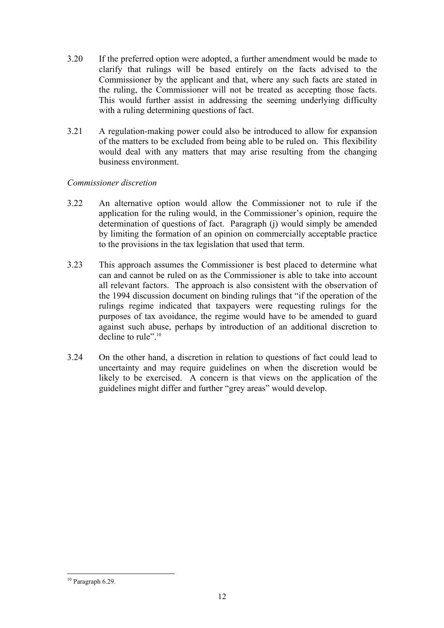- 3.20 If the preferred option were adopted, a further amendment would be made to clarify that rulings will be based entirely on the facts advised to the Commissioner by the applicant and that, where any such facts are stated in the ruling, the Commissioner will not be treated as accepting those facts. This would further assist in addressing the seeming underlying difficulty with a ruling determining questions of fact.
- 3.21 A regulation-making power could also be introduced to allow for expansion of the matters to be excluded from being able to be ruled on. This flexibility would deal with any matters that may arise resulting from the changing business environment.

#### *Commissioner discretion*

- 3.22 An alternative option would allow the Commissioner not to rule if the application for the ruling would, in the Commissioner's opinion, require the determination of questions of fact. Paragraph (j) would simply be amended by limiting the formation of an opinion on commercially acceptable practice to the provisions in the tax legislation that used that term.
- 3.23 This approach assumes the Commissioner is best placed to determine what can and cannot be ruled on as the Commissioner is able to take into account all relevant factors. The approach is also consistent with the observation of the 1994 discussion document on binding rulings that "if the operation of the rulings regime indicated that taxpayers were requesting rulings for the purposes of tax avoidance, the regime would have to be amended to guard against such abuse, perhaps by introduction of an additional discretion to decline to rule".<sup>10</sup>
- 3.24 On the other hand, a discretion in relation to questions of fact could lead to uncertainty and may require guidelines on when the discretion would be likely to be exercised. A concern is that views on the application of the guidelines might differ and further "grey areas" would develop.

 $\overline{a}$ 

 $10$  Paragraph 6.29.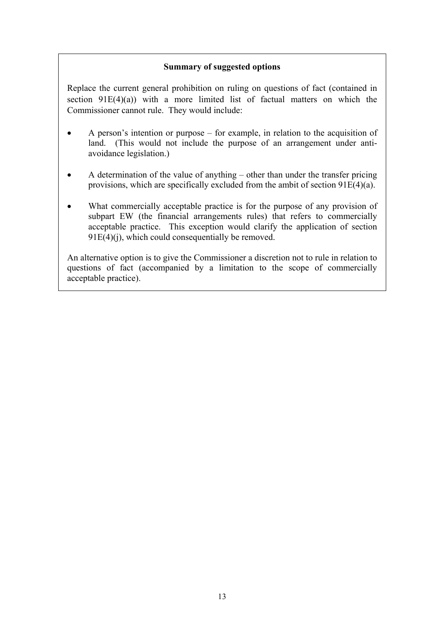# **Summary of suggested options**

Replace the current general prohibition on ruling on questions of fact (contained in section  $91E(4)(a)$  with a more limited list of factual matters on which the Commissioner cannot rule. They would include:

- A person's intention or purpose for example, in relation to the acquisition of land. (This would not include the purpose of an arrangement under antiavoidance legislation.)
- A determination of the value of anything other than under the transfer pricing provisions, which are specifically excluded from the ambit of section 91E(4)(a).
- What commercially acceptable practice is for the purpose of any provision of subpart EW (the financial arrangements rules) that refers to commercially acceptable practice. This exception would clarify the application of section  $91E(4)(i)$ , which could consequentially be removed.

An alternative option is to give the Commissioner a discretion not to rule in relation to questions of fact (accompanied by a limitation to the scope of commercially acceptable practice).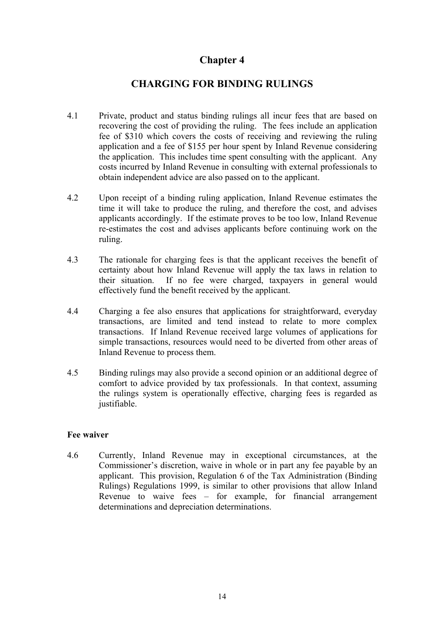# **CHARGING FOR BINDING RULINGS**

- <span id="page-17-0"></span>4.1 Private, product and status binding rulings all incur fees that are based on recovering the cost of providing the ruling. The fees include an application fee of \$310 which covers the costs of receiving and reviewing the ruling application and a fee of \$155 per hour spent by Inland Revenue considering the application. This includes time spent consulting with the applicant. Any costs incurred by Inland Revenue in consulting with external professionals to obtain independent advice are also passed on to the applicant.
- 4.2 Upon receipt of a binding ruling application, Inland Revenue estimates the time it will take to produce the ruling, and therefore the cost, and advises applicants accordingly. If the estimate proves to be too low, Inland Revenue re-estimates the cost and advises applicants before continuing work on the ruling.
- 4.3 The rationale for charging fees is that the applicant receives the benefit of certainty about how Inland Revenue will apply the tax laws in relation to their situation. If no fee were charged, taxpayers in general would effectively fund the benefit received by the applicant.
- 4.4 Charging a fee also ensures that applications for straightforward, everyday transactions, are limited and tend instead to relate to more complex transactions. If Inland Revenue received large volumes of applications for simple transactions, resources would need to be diverted from other areas of Inland Revenue to process them.
- 4.5 Binding rulings may also provide a second opinion or an additional degree of comfort to advice provided by tax professionals. In that context, assuming the rulings system is operationally effective, charging fees is regarded as justifiable.

#### **Fee waiver**

4.6 Currently, Inland Revenue may in exceptional circumstances, at the Commissioner's discretion, waive in whole or in part any fee payable by an applicant. This provision, Regulation 6 of the Tax Administration (Binding Rulings) Regulations 1999, is similar to other provisions that allow Inland Revenue to waive fees – for example, for financial arrangement determinations and depreciation determinations.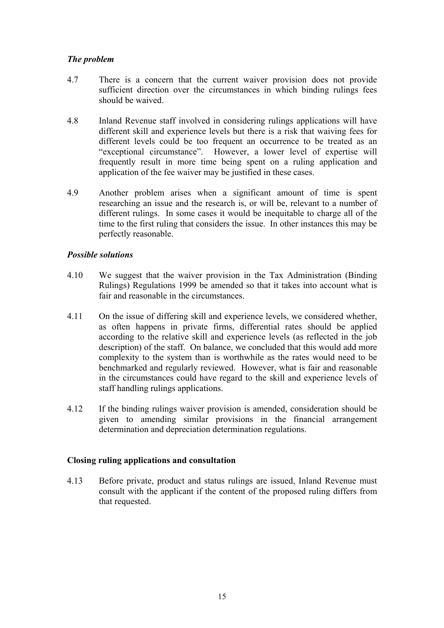# *The problem*

- 4.7 There is a concern that the current waiver provision does not provide sufficient direction over the circumstances in which binding rulings fees should be waived.
- 4.8 Inland Revenue staff involved in considering rulings applications will have different skill and experience levels but there is a risk that waiving fees for different levels could be too frequent an occurrence to be treated as an "exceptional circumstance". However, a lower level of expertise will frequently result in more time being spent on a ruling application and application of the fee waiver may be justified in these cases.
- 4.9 Another problem arises when a significant amount of time is spent researching an issue and the research is, or will be, relevant to a number of different rulings. In some cases it would be inequitable to charge all of the time to the first ruling that considers the issue. In other instances this may be perfectly reasonable.

#### *Possible solutions*

- 4.10 We suggest that the waiver provision in the Tax Administration (Binding Rulings) Regulations 1999 be amended so that it takes into account what is fair and reasonable in the circumstances.
- 4.11 On the issue of differing skill and experience levels, we considered whether, as often happens in private firms, differential rates should be applied according to the relative skill and experience levels (as reflected in the job description) of the staff. On balance, we concluded that this would add more complexity to the system than is worthwhile as the rates would need to be benchmarked and regularly reviewed. However, what is fair and reasonable in the circumstances could have regard to the skill and experience levels of staff handling rulings applications.
- 4.12 If the binding rulings waiver provision is amended, consideration should be given to amending similar provisions in the financial arrangement determination and depreciation determination regulations.

# **Closing ruling applications and consultation**

4.13 Before private, product and status rulings are issued, Inland Revenue must consult with the applicant if the content of the proposed ruling differs from that requested.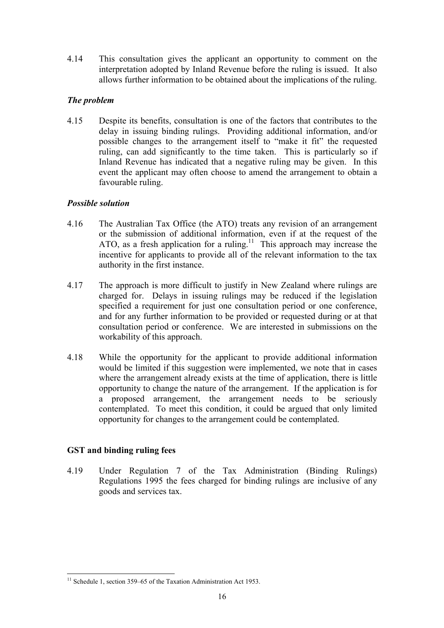4.14 This consultation gives the applicant an opportunity to comment on the interpretation adopted by Inland Revenue before the ruling is issued. It also allows further information to be obtained about the implications of the ruling.

# *The problem*

4.15 Despite its benefits, consultation is one of the factors that contributes to the delay in issuing binding rulings. Providing additional information, and/or possible changes to the arrangement itself to "make it fit" the requested ruling, can add significantly to the time taken. This is particularly so if Inland Revenue has indicated that a negative ruling may be given. In this event the applicant may often choose to amend the arrangement to obtain a favourable ruling.

#### *Possible solution*

- 4.16 The Australian Tax Office (the ATO) treats any revision of an arrangement or the submission of additional information, even if at the request of the ATO, as a fresh application for a ruling.<sup>11</sup> This approach may increase the incentive for applicants to provide all of the relevant information to the tax authority in the first instance.
- 4.17 The approach is more difficult to justify in New Zealand where rulings are charged for. Delays in issuing rulings may be reduced if the legislation specified a requirement for just one consultation period or one conference, and for any further information to be provided or requested during or at that consultation period or conference. We are interested in submissions on the workability of this approach.
- 4.18 While the opportunity for the applicant to provide additional information would be limited if this suggestion were implemented, we note that in cases where the arrangement already exists at the time of application, there is little opportunity to change the nature of the arrangement. If the application is for a proposed arrangement, the arrangement needs to be seriously contemplated. To meet this condition, it could be argued that only limited opportunity for changes to the arrangement could be contemplated.

# **GST and binding ruling fees**

 $\overline{a}$ 

4.19 Under Regulation 7 of the Tax Administration (Binding Rulings) Regulations 1995 the fees charged for binding rulings are inclusive of any goods and services tax.

 $11$  Schedule 1, section 359–65 of the Taxation Administration Act 1953.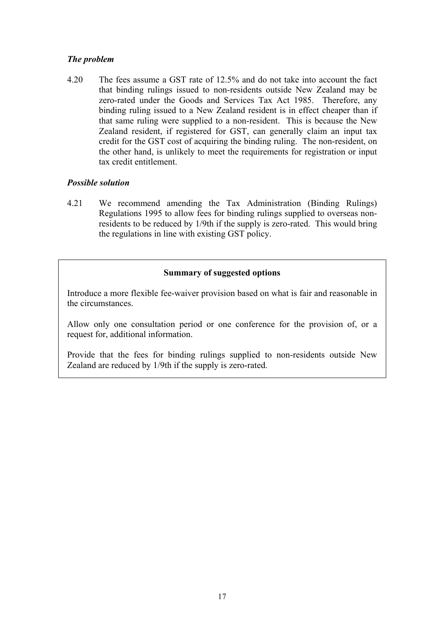# *The problem*

4.20 The fees assume a GST rate of 12.5% and do not take into account the fact that binding rulings issued to non-residents outside New Zealand may be zero-rated under the Goods and Services Tax Act 1985. Therefore, any binding ruling issued to a New Zealand resident is in effect cheaper than if that same ruling were supplied to a non-resident. This is because the New Zealand resident, if registered for GST, can generally claim an input tax credit for the GST cost of acquiring the binding ruling. The non-resident, on the other hand, is unlikely to meet the requirements for registration or input tax credit entitlement.

# *Possible solution*

4.21 We recommend amending the Tax Administration (Binding Rulings) Regulations 1995 to allow fees for binding rulings supplied to overseas nonresidents to be reduced by 1/9th if the supply is zero-rated. This would bring the regulations in line with existing GST policy.

# **Summary of suggested options**

Introduce a more flexible fee-waiver provision based on what is fair and reasonable in the circumstances.

Allow only one consultation period or one conference for the provision of, or a request for, additional information.

Provide that the fees for binding rulings supplied to non-residents outside New Zealand are reduced by 1/9th if the supply is zero-rated.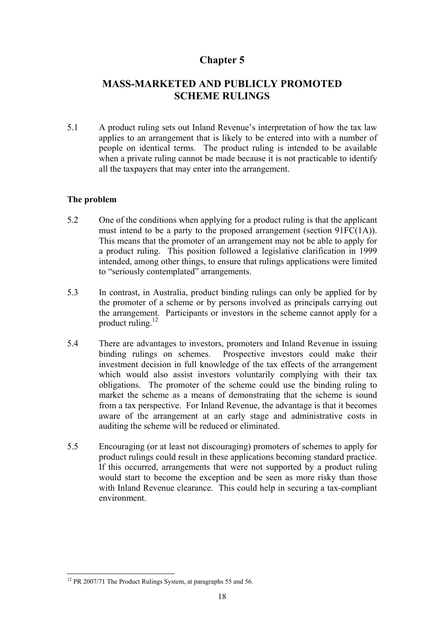# <span id="page-21-0"></span>**MASS-MARKETED AND PUBLICLY PROMOTED SCHEME RULINGS**

5.1 A product ruling sets out Inland Revenue's interpretation of how the tax law applies to an arrangement that is likely to be entered into with a number of people on identical terms. The product ruling is intended to be available when a private ruling cannot be made because it is not practicable to identify all the taxpayers that may enter into the arrangement.

#### **The problem**

- 5.2 One of the conditions when applying for a product ruling is that the applicant must intend to be a party to the proposed arrangement (section 91FC(1A)). This means that the promoter of an arrangement may not be able to apply for a product ruling. This position followed a legislative clarification in 1999 intended, among other things, to ensure that rulings applications were limited to "seriously contemplated" arrangements.
- 5.3 In contrast, in Australia, product binding rulings can only be applied for by the promoter of a scheme or by persons involved as principals carrying out the arrangement. Participants or investors in the scheme cannot apply for a product ruling. $^{12}$
- 5.4 There are advantages to investors, promoters and Inland Revenue in issuing binding rulings on schemes. Prospective investors could make their investment decision in full knowledge of the tax effects of the arrangement which would also assist investors voluntarily complying with their tax obligations. The promoter of the scheme could use the binding ruling to market the scheme as a means of demonstrating that the scheme is sound from a tax perspective. For Inland Revenue, the advantage is that it becomes aware of the arrangement at an early stage and administrative costs in auditing the scheme will be reduced or eliminated.
- 5.5 Encouraging (or at least not discouraging) promoters of schemes to apply for product rulings could result in these applications becoming standard practice. If this occurred, arrangements that were not supported by a product ruling would start to become the exception and be seen as more risky than those with Inland Revenue clearance. This could help in securing a tax-compliant environment.

 $\overline{a}$ 

 $12$  PR 2007/71 The Product Rulings System, at paragraphs 55 and 56.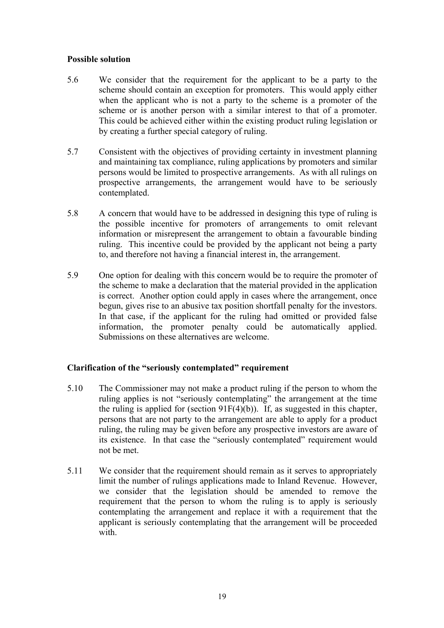#### **Possible solution**

- 5.6 We consider that the requirement for the applicant to be a party to the scheme should contain an exception for promoters. This would apply either when the applicant who is not a party to the scheme is a promoter of the scheme or is another person with a similar interest to that of a promoter. This could be achieved either within the existing product ruling legislation or by creating a further special category of ruling.
- 5.7 Consistent with the objectives of providing certainty in investment planning and maintaining tax compliance, ruling applications by promoters and similar persons would be limited to prospective arrangements. As with all rulings on prospective arrangements, the arrangement would have to be seriously contemplated.
- 5.8 A concern that would have to be addressed in designing this type of ruling is the possible incentive for promoters of arrangements to omit relevant information or misrepresent the arrangement to obtain a favourable binding ruling. This incentive could be provided by the applicant not being a party to, and therefore not having a financial interest in, the arrangement.
- 5.9 One option for dealing with this concern would be to require the promoter of the scheme to make a declaration that the material provided in the application is correct. Another option could apply in cases where the arrangement, once begun, gives rise to an abusive tax position shortfall penalty for the investors. In that case, if the applicant for the ruling had omitted or provided false information, the promoter penalty could be automatically applied. Submissions on these alternatives are welcome.

# **Clarification of the "seriously contemplated" requirement**

- 5.10 The Commissioner may not make a product ruling if the person to whom the ruling applies is not "seriously contemplating" the arrangement at the time the ruling is applied for (section  $91F(4)(b)$ ). If, as suggested in this chapter, persons that are not party to the arrangement are able to apply for a product ruling, the ruling may be given before any prospective investors are aware of its existence. In that case the "seriously contemplated" requirement would not be met.
- 5.11 We consider that the requirement should remain as it serves to appropriately limit the number of rulings applications made to Inland Revenue. However, we consider that the legislation should be amended to remove the requirement that the person to whom the ruling is to apply is seriously contemplating the arrangement and replace it with a requirement that the applicant is seriously contemplating that the arrangement will be proceeded with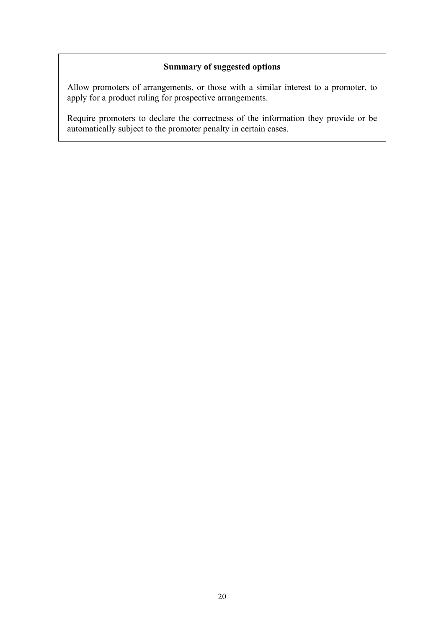# **Summary of suggested options**

Allow promoters of arrangements, or those with a similar interest to a promoter, to apply for a product ruling for prospective arrangements.

Require promoters to declare the correctness of the information they provide or be automatically subject to the promoter penalty in certain cases.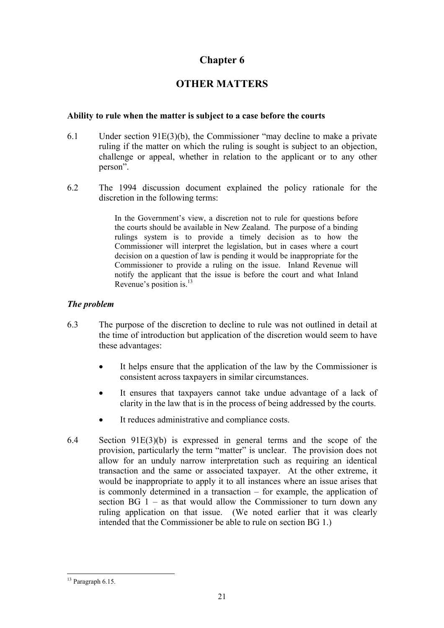# **OTHER MATTERS**

#### <span id="page-24-0"></span>**Ability to rule when the matter is subject to a case before the courts**

- 6.1 Under section 91E(3)(b), the Commissioner "may decline to make a private ruling if the matter on which the ruling is sought is subject to an objection, challenge or appeal, whether in relation to the applicant or to any other person".
- 6.2 The 1994 discussion document explained the policy rationale for the discretion in the following terms:

In the Government's view, a discretion not to rule for questions before the courts should be available in New Zealand. The purpose of a binding rulings system is to provide a timely decision as to how the Commissioner will interpret the legislation, but in cases where a court decision on a question of law is pending it would be inappropriate for the Commissioner to provide a ruling on the issue. Inland Revenue will notify the applicant that the issue is before the court and what Inland Revenue's position is.<sup>13</sup>

#### *The problem*

- 6.3 The purpose of the discretion to decline to rule was not outlined in detail at the time of introduction but application of the discretion would seem to have these advantages:
	- It helps ensure that the application of the law by the Commissioner is consistent across taxpayers in similar circumstances.
	- It ensures that taxpayers cannot take undue advantage of a lack of clarity in the law that is in the process of being addressed by the courts.
	- It reduces administrative and compliance costs.
- 6.4 Section 91E(3)(b) is expressed in general terms and the scope of the provision, particularly the term "matter" is unclear. The provision does not allow for an unduly narrow interpretation such as requiring an identical transaction and the same or associated taxpayer. At the other extreme, it would be inappropriate to apply it to all instances where an issue arises that is commonly determined in a transaction – for example, the application of section  $BG_1$  – as that would allow the Commissioner to turn down any ruling application on that issue. (We noted earlier that it was clearly intended that the Commissioner be able to rule on section BG 1.)

 $\overline{a}$ 

 $13$  Paragraph 6.15.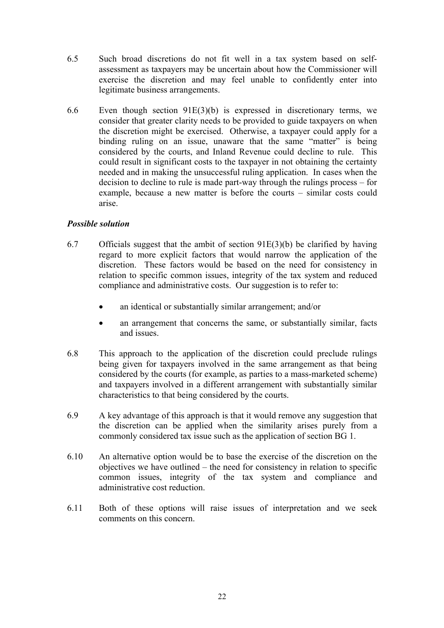- 6.5 Such broad discretions do not fit well in a tax system based on selfassessment as taxpayers may be uncertain about how the Commissioner will exercise the discretion and may feel unable to confidently enter into legitimate business arrangements.
- 6.6 Even though section 91E(3)(b) is expressed in discretionary terms, we consider that greater clarity needs to be provided to guide taxpayers on when the discretion might be exercised. Otherwise, a taxpayer could apply for a binding ruling on an issue, unaware that the same "matter" is being considered by the courts, and Inland Revenue could decline to rule. This could result in significant costs to the taxpayer in not obtaining the certainty needed and in making the unsuccessful ruling application. In cases when the decision to decline to rule is made part-way through the rulings process – for example, because a new matter is before the courts – similar costs could arise.

# *Possible solution*

- 6.7 Officials suggest that the ambit of section 91E(3)(b) be clarified by having regard to more explicit factors that would narrow the application of the discretion. These factors would be based on the need for consistency in relation to specific common issues, integrity of the tax system and reduced compliance and administrative costs. Our suggestion is to refer to:
	- an identical or substantially similar arrangement; and/or
	- an arrangement that concerns the same, or substantially similar, facts and issues.
- 6.8 This approach to the application of the discretion could preclude rulings being given for taxpayers involved in the same arrangement as that being considered by the courts (for example, as parties to a mass-marketed scheme) and taxpayers involved in a different arrangement with substantially similar characteristics to that being considered by the courts.
- 6.9 A key advantage of this approach is that it would remove any suggestion that the discretion can be applied when the similarity arises purely from a commonly considered tax issue such as the application of section BG 1.
- 6.10 An alternative option would be to base the exercise of the discretion on the objectives we have outlined – the need for consistency in relation to specific common issues, integrity of the tax system and compliance and administrative cost reduction.
- 6.11 Both of these options will raise issues of interpretation and we seek comments on this concern.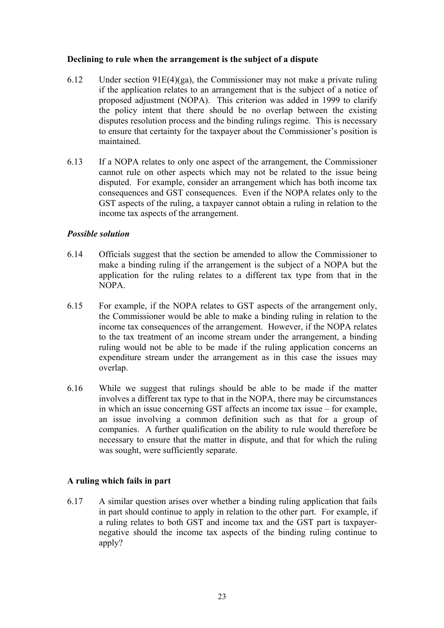# **Declining to rule when the arrangement is the subject of a dispute**

- 6.12 Under section 91E(4)(ga), the Commissioner may not make a private ruling if the application relates to an arrangement that is the subject of a notice of proposed adjustment (NOPA). This criterion was added in 1999 to clarify the policy intent that there should be no overlap between the existing disputes resolution process and the binding rulings regime. This is necessary to ensure that certainty for the taxpayer about the Commissioner's position is maintained.
- 6.13 If a NOPA relates to only one aspect of the arrangement, the Commissioner cannot rule on other aspects which may not be related to the issue being disputed. For example, consider an arrangement which has both income tax consequences and GST consequences. Even if the NOPA relates only to the GST aspects of the ruling, a taxpayer cannot obtain a ruling in relation to the income tax aspects of the arrangement.

# *Possible solution*

- 6.14 Officials suggest that the section be amended to allow the Commissioner to make a binding ruling if the arrangement is the subject of a NOPA but the application for the ruling relates to a different tax type from that in the NOPA.
- 6.15 For example, if the NOPA relates to GST aspects of the arrangement only, the Commissioner would be able to make a binding ruling in relation to the income tax consequences of the arrangement. However, if the NOPA relates to the tax treatment of an income stream under the arrangement, a binding ruling would not be able to be made if the ruling application concerns an expenditure stream under the arrangement as in this case the issues may overlap.
- 6.16 While we suggest that rulings should be able to be made if the matter involves a different tax type to that in the NOPA, there may be circumstances in which an issue concerning GST affects an income tax issue – for example, an issue involving a common definition such as that for a group of companies. A further qualification on the ability to rule would therefore be necessary to ensure that the matter in dispute, and that for which the ruling was sought, were sufficiently separate.

# **A ruling which fails in part**

6.17 A similar question arises over whether a binding ruling application that fails in part should continue to apply in relation to the other part. For example, if a ruling relates to both GST and income tax and the GST part is taxpayernegative should the income tax aspects of the binding ruling continue to apply?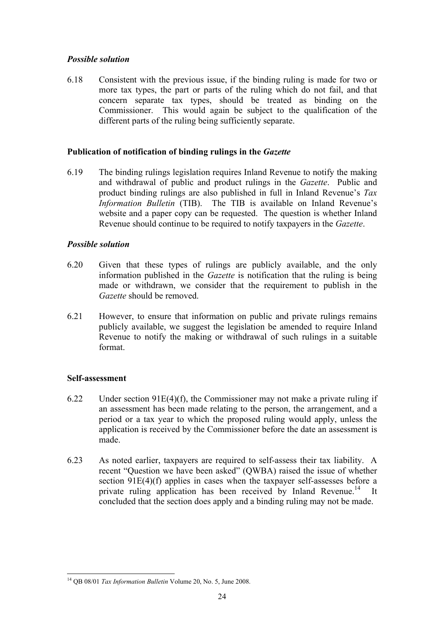# *Possible solution*

6.18 Consistent with the previous issue, if the binding ruling is made for two or more tax types, the part or parts of the ruling which do not fail, and that concern separate tax types, should be treated as binding on the Commissioner. This would again be subject to the qualification of the different parts of the ruling being sufficiently separate.

# **Publication of notification of binding rulings in the** *Gazette*

6.19 The binding rulings legislation requires Inland Revenue to notify the making and withdrawal of public and product rulings in the *Gazette*. Public and product binding rulings are also published in full in Inland Revenue's *Tax Information Bulletin* (TIB). The TIB is available on Inland Revenue's website and a paper copy can be requested. The question is whether Inland Revenue should continue to be required to notify taxpayers in the *Gazette*.

#### *Possible solution*

- 6.20 Given that these types of rulings are publicly available, and the only information published in the *Gazette* is notification that the ruling is being made or withdrawn, we consider that the requirement to publish in the *Gazette* should be removed.
- 6.21 However, to ensure that information on public and private rulings remains publicly available, we suggest the legislation be amended to require Inland Revenue to notify the making or withdrawal of such rulings in a suitable format.

# **Self-assessment**

- 6.22 Under section 91E(4)(f), the Commissioner may not make a private ruling if an assessment has been made relating to the person, the arrangement, and a period or a tax year to which the proposed ruling would apply, unless the application is received by the Commissioner before the date an assessment is made.
- 6.23 As noted earlier, taxpayers are required to self-assess their tax liability. A recent "Question we have been asked" (QWBA) raised the issue of whether section 91E(4)(f) applies in cases when the taxpayer self-assesses before a private ruling application has been received by Inland Revenue.<sup>14</sup> It concluded that the section does apply and a binding ruling may not be made.

 $\overline{a}$ 14 QB 08/01 *Tax Information Bulletin* Volume 20, No. 5, June 2008.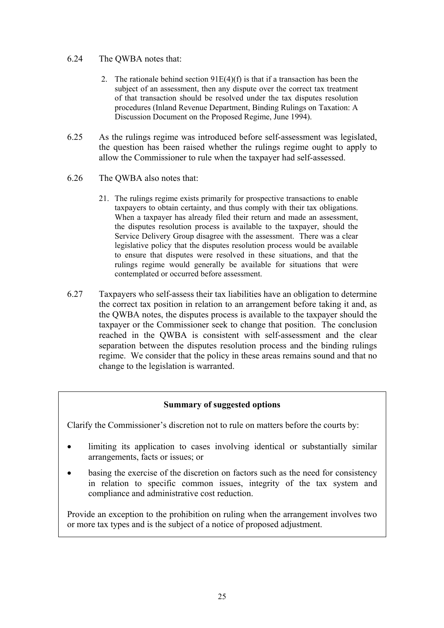#### 6.24 The QWBA notes that:

- 2. The rationale behind section 91E(4)(f) is that if a transaction has been the subject of an assessment, then any dispute over the correct tax treatment of that transaction should be resolved under the tax disputes resolution procedures (Inland Revenue Department, Binding Rulings on Taxation: A Discussion Document on the Proposed Regime, June 1994).
- 6.25 As the rulings regime was introduced before self-assessment was legislated, the question has been raised whether the rulings regime ought to apply to allow the Commissioner to rule when the taxpayer had self-assessed.
- 6.26 The QWBA also notes that:
	- 21. The rulings regime exists primarily for prospective transactions to enable taxpayers to obtain certainty, and thus comply with their tax obligations. When a taxpayer has already filed their return and made an assessment, the disputes resolution process is available to the taxpayer, should the Service Delivery Group disagree with the assessment. There was a clear legislative policy that the disputes resolution process would be available to ensure that disputes were resolved in these situations, and that the rulings regime would generally be available for situations that were contemplated or occurred before assessment.
- 6.27 Taxpayers who self-assess their tax liabilities have an obligation to determine the correct tax position in relation to an arrangement before taking it and, as the QWBA notes, the disputes process is available to the taxpayer should the taxpayer or the Commissioner seek to change that position. The conclusion reached in the QWBA is consistent with self-assessment and the clear separation between the disputes resolution process and the binding rulings regime. We consider that the policy in these areas remains sound and that no change to the legislation is warranted.

# **Summary of suggested options**

Clarify the Commissioner's discretion not to rule on matters before the courts by:

- limiting its application to cases involving identical or substantially similar arrangements, facts or issues; or
- basing the exercise of the discretion on factors such as the need for consistency in relation to specific common issues, integrity of the tax system and compliance and administrative cost reduction.

Provide an exception to the prohibition on ruling when the arrangement involves two or more tax types and is the subject of a notice of proposed adjustment.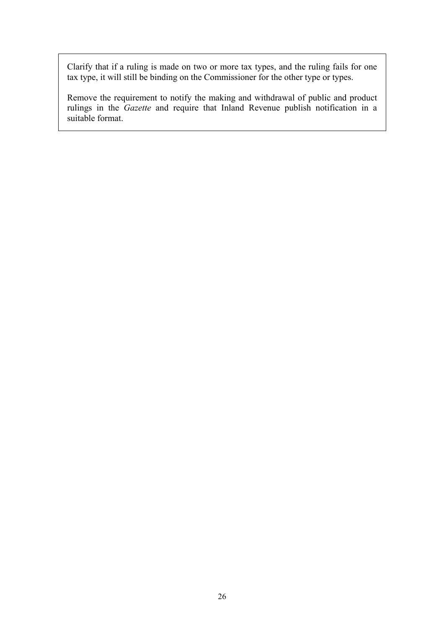Clarify that if a ruling is made on two or more tax types, and the ruling fails for one tax type, it will still be binding on the Commissioner for the other type or types.

Remove the requirement to notify the making and withdrawal of public and product rulings in the *Gazette* and require that Inland Revenue publish notification in a suitable format.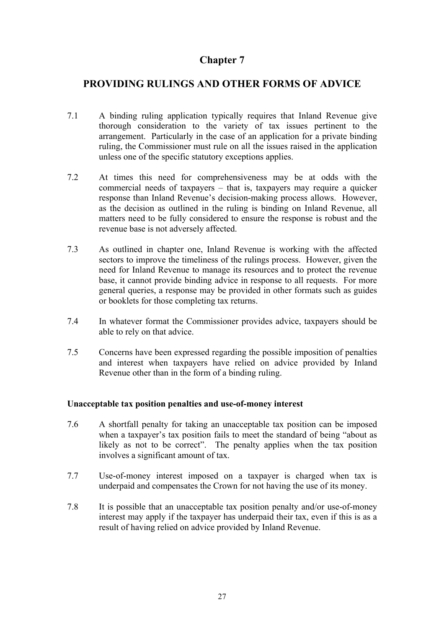# <span id="page-30-0"></span>**PROVIDING RULINGS AND OTHER FORMS OF ADVICE**

- 7.1 A binding ruling application typically requires that Inland Revenue give thorough consideration to the variety of tax issues pertinent to the arrangement. Particularly in the case of an application for a private binding ruling, the Commissioner must rule on all the issues raised in the application unless one of the specific statutory exceptions applies.
- 7.2 At times this need for comprehensiveness may be at odds with the commercial needs of taxpayers – that is, taxpayers may require a quicker response than Inland Revenue's decision-making process allows. However, as the decision as outlined in the ruling is binding on Inland Revenue, all matters need to be fully considered to ensure the response is robust and the revenue base is not adversely affected.
- 7.3 As outlined in chapter one, Inland Revenue is working with the affected sectors to improve the timeliness of the rulings process. However, given the need for Inland Revenue to manage its resources and to protect the revenue base, it cannot provide binding advice in response to all requests. For more general queries, a response may be provided in other formats such as guides or booklets for those completing tax returns.
- 7.4 In whatever format the Commissioner provides advice, taxpayers should be able to rely on that advice.
- 7.5 Concerns have been expressed regarding the possible imposition of penalties and interest when taxpayers have relied on advice provided by Inland Revenue other than in the form of a binding ruling.

#### **Unacceptable tax position penalties and use-of-money interest**

- 7.6 A shortfall penalty for taking an unacceptable tax position can be imposed when a taxpayer's tax position fails to meet the standard of being "about as likely as not to be correct". The penalty applies when the tax position involves a significant amount of tax.
- 7.7 Use-of-money interest imposed on a taxpayer is charged when tax is underpaid and compensates the Crown for not having the use of its money.
- 7.8 It is possible that an unacceptable tax position penalty and/or use-of-money interest may apply if the taxpayer has underpaid their tax, even if this is as a result of having relied on advice provided by Inland Revenue.